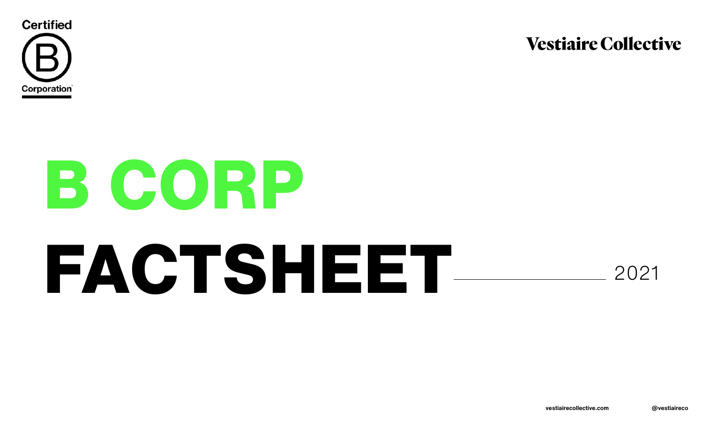

# **B CORP FACTSHEET**

# **Vestiaire Collective**



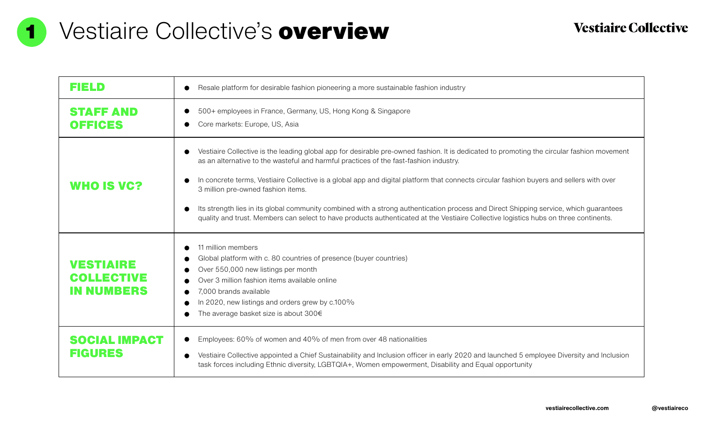

# Vestiaire Collective's overview



| FIELD                                        | Resale platform for desirable fashion pionee                                                                                                                                                                                                                                                |
|----------------------------------------------|---------------------------------------------------------------------------------------------------------------------------------------------------------------------------------------------------------------------------------------------------------------------------------------------|
| <b>STAFF AND</b><br><b>OFFICES</b>           | 500+ employees in France, Germany, US, He<br>Core markets: Europe, US, Asia                                                                                                                                                                                                                 |
| WHO IS VC?                                   | Vestiaire Collective is the leading global app<br>as an alternative to the wasteful and harmfu<br>In concrete terms, Vestiaire Collective is a gli<br>3 million pre-owned fashion items.<br>Its strength lies in its global community come<br>quality and trust. Members can select to have |
| VESTIAIRE<br><b>COLLECTIVE</b><br>IN NUMBERS | 11 million members<br>Global platform with c. 80 countries of prese<br>Over 550,000 new listings per month<br>Over 3 million fashion items available online<br>7,000 brands available<br>In 2020, new listings and orders grew by c.1<br>The average basket size is about $300 \in$         |
| <b>SOCIAL IMPACT</b><br><b>FIGURES</b>       | Employees: 60% of women and 40% of me<br>Vestiaire Collective appointed a Chief Sustai<br>task forces including Ethnic diversity, LGBTC                                                                                                                                                     |



# **Vestiaire Collective**

neering a more sustainable fashion industry

5, Hong Kong & Singapore

app for desirable pre-owned fashion. It is dedicated to promoting the circular fashion movement mful practices of the fast-fashion industry.

a global app and digital platform that connects circular fashion buyers and sellers with over

ombined with a strong authentication process and Direct Shipping service, which guarantees have products authenticated at the Vestiaire Collective logistics hubs on three continents.

resence (buyer countries)

 $\sigma$  c.100%

men from over 48 nationalities

stainability and Inclusion officer in early 2020 and launched 5 employee Diversity and Inclusion BTQIA+, Women empowerment, Disability and Equal opportunity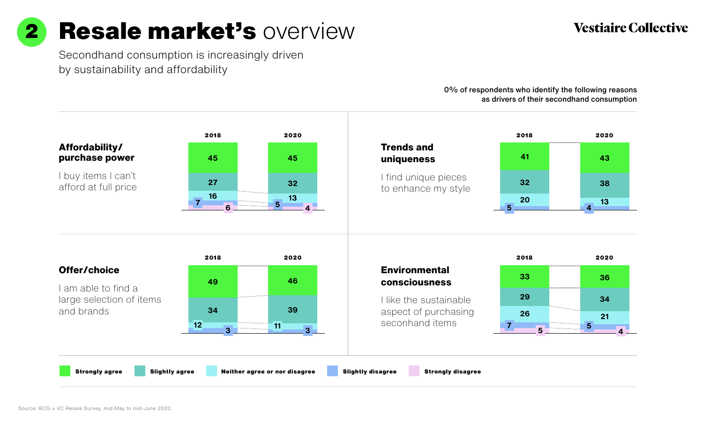

# Resale market's overview

Secondhand consumption is increasingly driven by sustainability and affordability

> 0% of respondents who identify the following reasons as drivers of their secondhand consumption







Strongly agree Slightly agree Neither agree or nor disagree Slightly disagree Strongly disagree

# **Vestiaire Collective**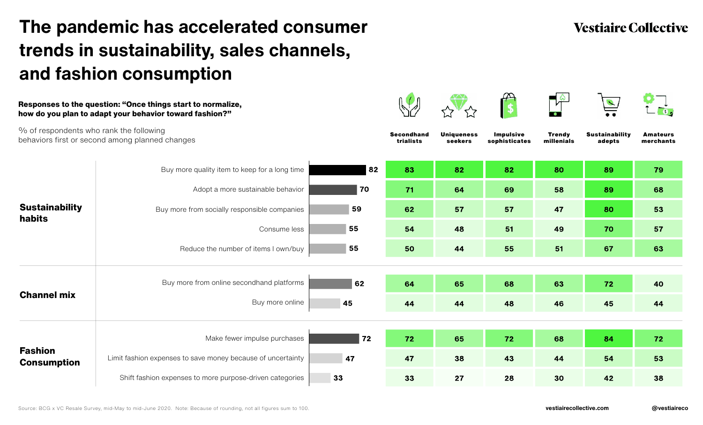# **The pandemic has accelerated consumer trends in sustainability, sales channels, and fashion consumption**













# **Vestiaire Collective**

% of respondents who rank the following behaviors first or second among planned changes

### **Responses to the question: "Once things start to normalize, how do you plan to adapt your behavior toward fashion?"**



| <b>Sustainability</b><br><b>habits</b> | Buy more quality item to keep for a long time               |
|----------------------------------------|-------------------------------------------------------------|
|                                        | Adopt a more sustainable behavior                           |
|                                        | Buy more from socially responsible companies                |
|                                        | Consume less                                                |
|                                        | Reduce the number of items I own/buy                        |
| <b>Channel mix</b>                     | Buy more from online secondhand platforms                   |
|                                        | Buy more online                                             |
| <b>Fashion</b><br><b>Consumption</b>   |                                                             |
|                                        | Make fewer impulse purchases                                |
|                                        | Limit fashion expenses to save money because of uncertainty |
|                                        | Shift fashion expenses to more purpose-driven categories    |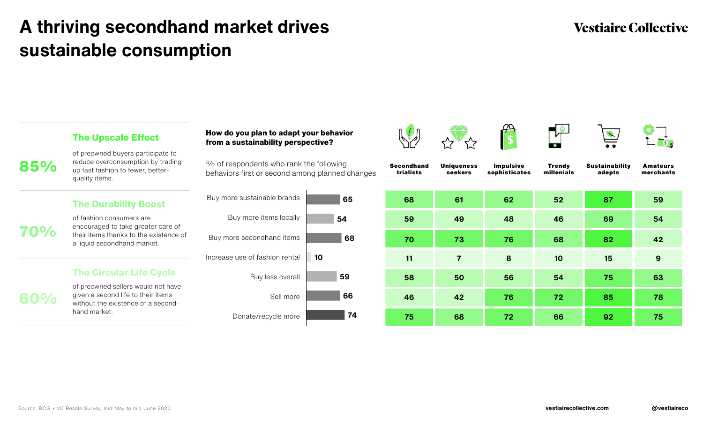# **A thriving secondhand market drives sustainable consumption**









# **Vestiaire Collective**

**85%**

**70%**

**60%**

### **The Upscale Effect**

### **The Durability Boost**

### **The Circular Life Cycle**

of preowned buyers participate to reduce overconsumption by trading up fast fashion to fewer, betterquality items.

of fashion consumers are encouraged to take greater care of their items thanks to the existence of a liquid secondhand market.

of preowned sellers would not have given a second life to their items without the existence of a secondhand market.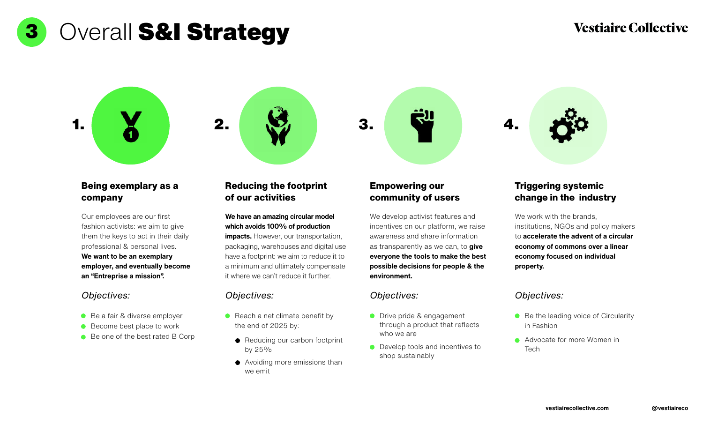

3 Overall S&I Strategy







### **Being exemplary as a company**

### *Objectives: Objectives: Objectives: Objectives:*

- Be a fair & diverse employer
- Become best place to work
- Be one of the best rated B Corp

# **Reducing the footprint of our activities**

# **Empowering our**

# **community of users**

### **Triggering systemic change in the industry**



Our employees are our first fashion activists: we aim to give them the keys to act in their daily professional & personal lives.

- **O** Drive pride & engagement through a product that reflects who we are
- **O** Develop tools and incentives to shop sustainably
- Be the leading voice of Circularity in Fashion
- **Advocate for more Women in** Tech

**We want to be an exemplary employer, and eventually become an "Entreprise a mission".**

- $\bullet$  Reach a net climate benefit by the end of 2025 by:
	- Reducing our carbon footprint by  $25\%$
	- **•** Avoiding more emissions than we emit

# **Vestiaire Collective**

**We have an amazing circular model which avoids 100% of production** 

**impacts.** However, our transportation, packaging, warehouses and digital use have a footprint: we aim to reduce it to a minimum and ultimately compensate it where we can't reduce it further.

We develop activist features and incentives on our platform, we raise awareness and share information as transparently as we can, to **give everyone the tools to make the best possible decisions for people & the environment.** 

We work with the brands, institutions, NGOs and policy makers to **accelerate the advent of a circular economy of commons over a linear economy focused on individual property.**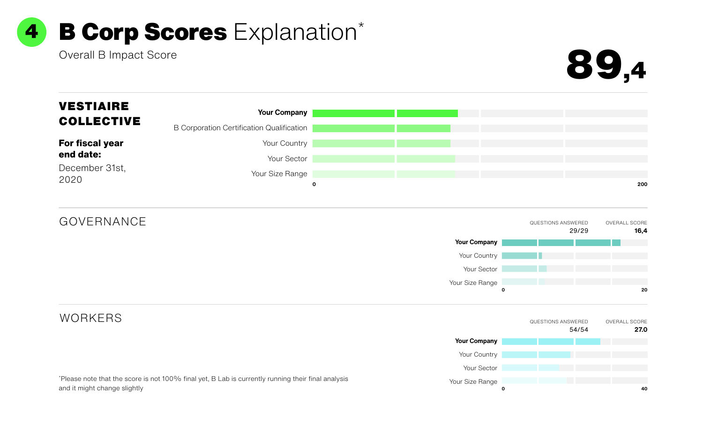

2020

### December 31st, **end date:**

**For fiscal year** 

\* Please note that the score is not 100% final yet, B Lab is currently running their final analysis and it might change slightly

# Overall B Impact Score 89,4





### **Your Company**

B Corporation Certification Qualification

Your Country

Your Sector

Your Size Range



GOVERNANCE

# **WORKERS**

# VESTIAIRE COLLECTIVE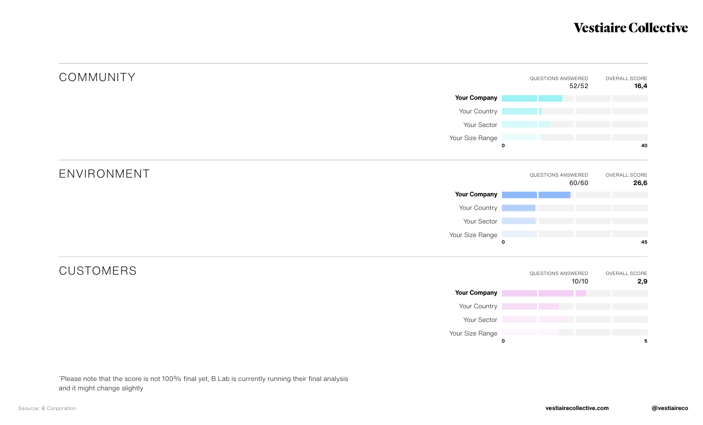# **COMMUNITY**

# ENVIRONMENT

# CUSTOMERS



\* Please note that the score is not 100% final yet, B Lab is currently running their final analysis and it might change slightly

# **Vestiaire Collective**



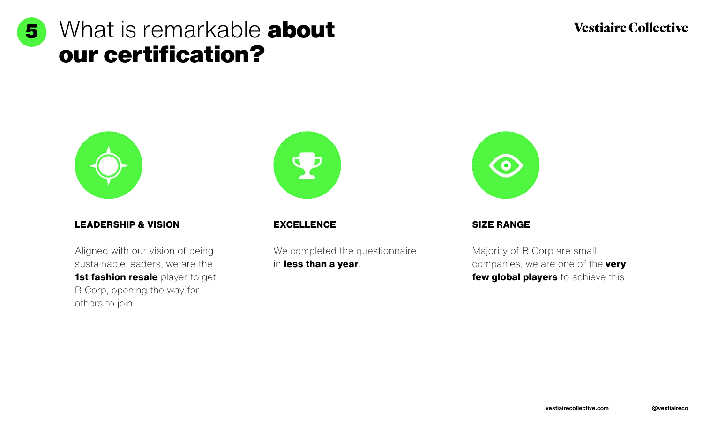





# **LEADERSHIP & VISION EXCELLENCE SIZE RANGE**

We completed the questionnaire in **less than a year**.

# **Vestiaire Collective**



Aligned with our vision of being sustainable leaders, we are the **1st fashion resale** player to get B Corp, opening the way for others to join

Majority of B Corp are small companies, we are one of the **very few global players** to achieve this

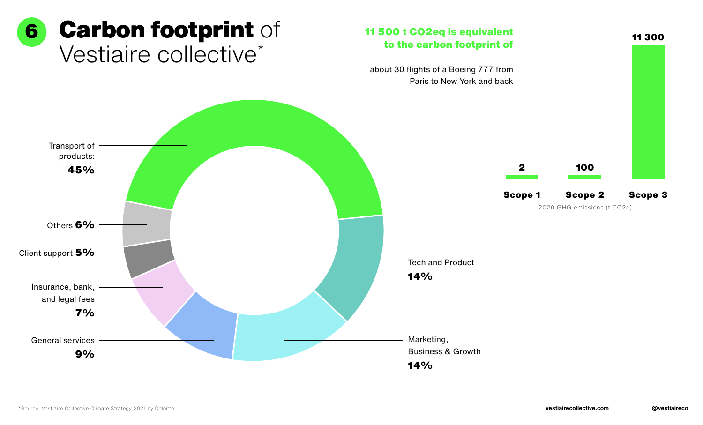# Vestiaire collective\* 6